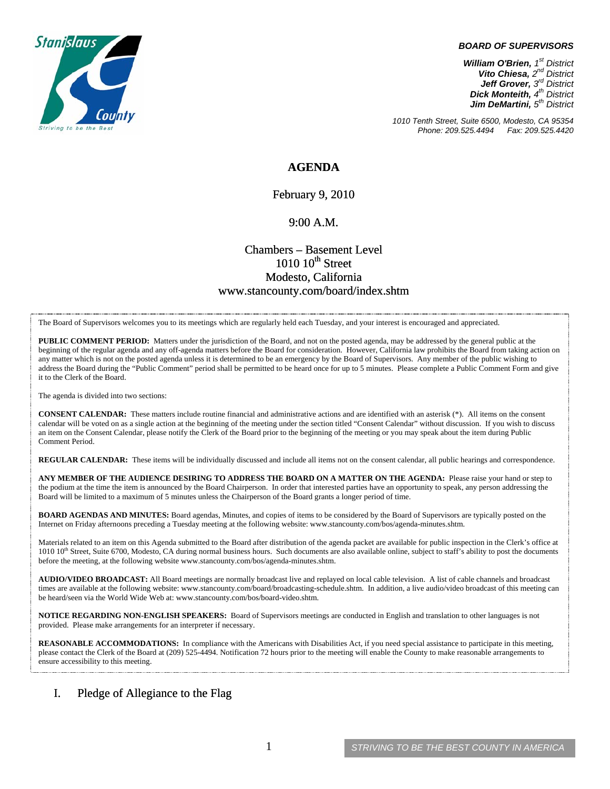

#### *BOARD OF SUPERVISORS*

*William O'Brien, 1st District Vito Chiesa, 2nd District Jeff Grover, 3rd District Dick Monteith, 4th District Jim DeMartini, 5th District*

*1010 Tenth Street, Suite 6500, Modesto, CA 95354 Phone: 209.525.4494* 

### **AGENDA**

February 9, 2010

#### 9:00 A.M.

## Chambers – Basement Level  $1010~10$ <sup>th</sup> Street Modesto, California www.stancounty.com/board/index.shtm

The Board of Supervisors welcomes you to its meetings which are regularly held each Tuesday, and your interest is encouraged and appreciated.

**PUBLIC COMMENT PERIOD:** Matters under the jurisdiction of the Board, and not on the posted agenda, may be addressed by the general public at the beginning of the regular agenda and any off-agenda matters before the Board for consideration. However, California law prohibits the Board from taking action on any matter which is not on the posted agenda unless it is determined to be an emergency by the Board of Supervisors. Any member of the public wishing to address the Board during the "Public Comment" period shall be permitted to be heard once for up to 5 minutes. Please complete a Public Comment Form and give it to the Clerk of the Board.

The agenda is divided into two sections:

**CONSENT CALENDAR:** These matters include routine financial and administrative actions and are identified with an asterisk (\*). All items on the consent calendar will be voted on as a single action at the beginning of the meeting under the section titled "Consent Calendar" without discussion. If you wish to discuss an item on the Consent Calendar, please notify the Clerk of the Board prior to the beginning of the meeting or you may speak about the item during Public Comment Period.

**REGULAR CALENDAR:** These items will be individually discussed and include all items not on the consent calendar, all public hearings and correspondence.

**ANY MEMBER OF THE AUDIENCE DESIRING TO ADDRESS THE BOARD ON A MATTER ON THE AGENDA:** Please raise your hand or step to the podium at the time the item is announced by the Board Chairperson. In order that interested parties have an opportunity to speak, any person addressing the Board will be limited to a maximum of 5 minutes unless the Chairperson of the Board grants a longer period of time.

**BOARD AGENDAS AND MINUTES:** Board agendas, Minutes, and copies of items to be considered by the Board of Supervisors are typically posted on the Internet on Friday afternoons preceding a Tuesday meeting at the following website: www.stancounty.com/bos/agenda-minutes.shtm.

Materials related to an item on this Agenda submitted to the Board after distribution of the agenda packet are available for public inspection in the Clerk's office at 1010 10<sup>th</sup> Street, Suite 6700, Modesto, CA during normal business hours. Such documents are also available online, subject to staff's ability to post the documents before the meeting, at the following website www.stancounty.com/bos/agenda-minutes.shtm.

**AUDIO/VIDEO BROADCAST:** All Board meetings are normally broadcast live and replayed on local cable television. A list of cable channels and broadcast times are available at the following website: www.stancounty.com/board/broadcasting-schedule.shtm. In addition, a live audio/video broadcast of this meeting can be heard/seen via the World Wide Web at: www.stancounty.com/bos/board-video.shtm.

**NOTICE REGARDING NON-ENGLISH SPEAKERS:** Board of Supervisors meetings are conducted in English and translation to other languages is not provided. Please make arrangements for an interpreter if necessary.

**REASONABLE ACCOMMODATIONS:** In compliance with the Americans with Disabilities Act, if you need special assistance to participate in this meeting, please contact the Clerk of the Board at (209) 525-4494. Notification 72 hours prior to the meeting will enable the County to make reasonable arrangements to ensure accessibility to this meeting.

#### I. Pledge of Allegiance to the Flag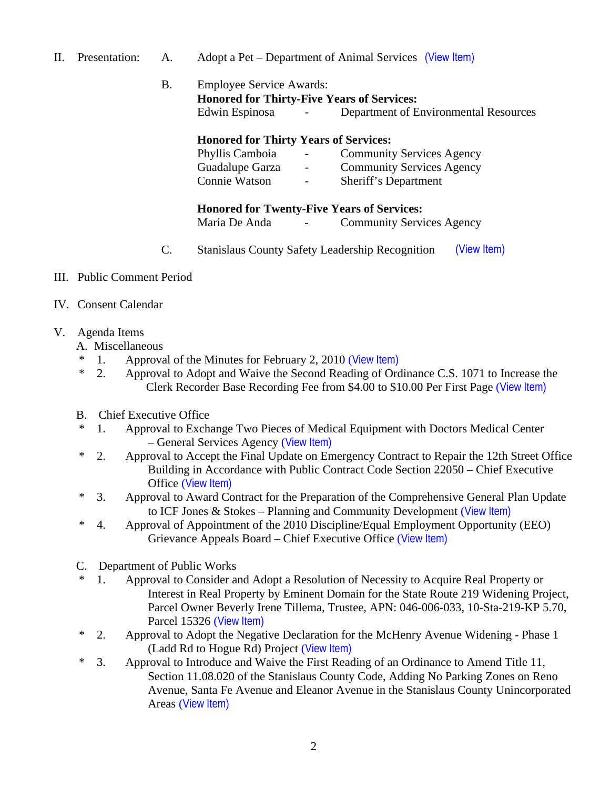- II. Presentation: A. Adopt a Pet Department of Animal Services (View Item)
	- B. Employee Service Awards: **Honored for Thirty-Five Years of Services:**  Edwin Espinosa - Department of Environmental Resources

### **Honored for Thirty Years of Services:**

| Phyllis Camboia | $\sim$ 100 $\mu$ | <b>Community Services Agency</b> |
|-----------------|------------------|----------------------------------|
| Guadalupe Garza | $\sim$ 100 $\mu$ | <b>Community Services Agency</b> |
| Connie Watson   | $\sim$ 100 $\mu$ | Sheriff's Department             |

### **Honored for Twenty-Five Years of Services:**

Maria De Anda - Community Services Agency

- C. Stanislaus County Safety Leadership Recognition (View Item)
- III. Public Comment Period
- IV. Consent Calendar
- V. Agenda Items
	- A. Miscellaneous
	- \* 1. Approval of the Minutes for February 2, 2010 ([View Item\)](http://www.stancounty.com/bos/minutes/2010/min02-02-10.pdf)
	- \* 2. Approval to Adopt and Waive the Second Reading of Ordinance C.S. 1071 to Increase the Clerk Recorder Base Recording Fee from \$4.00 to \$10.00 Per First Page ([View Item\)](http://www.stancounty.com/bos/agenda/2010/20100209/A02.pdf)
	- B. Chief Executive Office
	- \* 1. Approval to Exchange Two Pieces of Medical Equipment with Doctors Medical Center – General Services Agency ([View Item\)](http://www.stancounty.com/bos/agenda/2010/20100209/B01.pdf)
	- \* 2. Approval to Accept the Final Update on Emergency Contract to Repair the 12th Street Office Building in Accordance with Public Contract Code Section 22050 – Chief Executive Office ([View Item\)](http://www.stancounty.com/bos/agenda/2010/20100209/B02.pdf)
	- \* 3. Approval to Award Contract for the Preparation of the Comprehensive General Plan Update to ICF Jones & Stokes – Planning and Community Development ([View Item\)](http://www.stancounty.com/bos/agenda/2010/20100209/B03.pdf)
	- \* 4. Approval of Appointment of the 2010 Discipline/Equal Employment Opportunity (EEO) Grievance Appeals Board – Chief Executive Office ([View Item\)](http://www.stancounty.com/bos/agenda/2010/20100209/B04.pdf)
	- C. Department of Public Works
	- 1. Approval to Consider and Adopt a Resolution of Necessity to Acquire Real Property or Interest in Real Property by Eminent Domain for the State Route 219 Widening Project, Parcel Owner Beverly Irene Tillema, Trustee, APN: 046-006-033, 10-Sta-219-KP 5.70, Parcel 15326 ([View Item\)](http://www.stancounty.com/bos/agenda/2010/20100209/C01.pdf)
	- \* 2. Approval to Adopt the Negative Declaration for the McHenry Avenue Widening Phase 1 (Ladd Rd to Hogue Rd) Project ([View Item\)](http://www.stancounty.com/bos/agenda/2010/20100209/C02.pdf)
	- \* 3. Approval to Introduce and Waive the First Reading of an Ordinance to Amend Title 11, Section 11.08.020 of the Stanislaus County Code, Adding No Parking Zones on Reno Avenue, Santa Fe Avenue and Eleanor Avenue in the Stanislaus County Unincorporated Areas ([View Item\)](http://www.stancounty.com/bos/agenda/2010/20100209/C03.pdf)